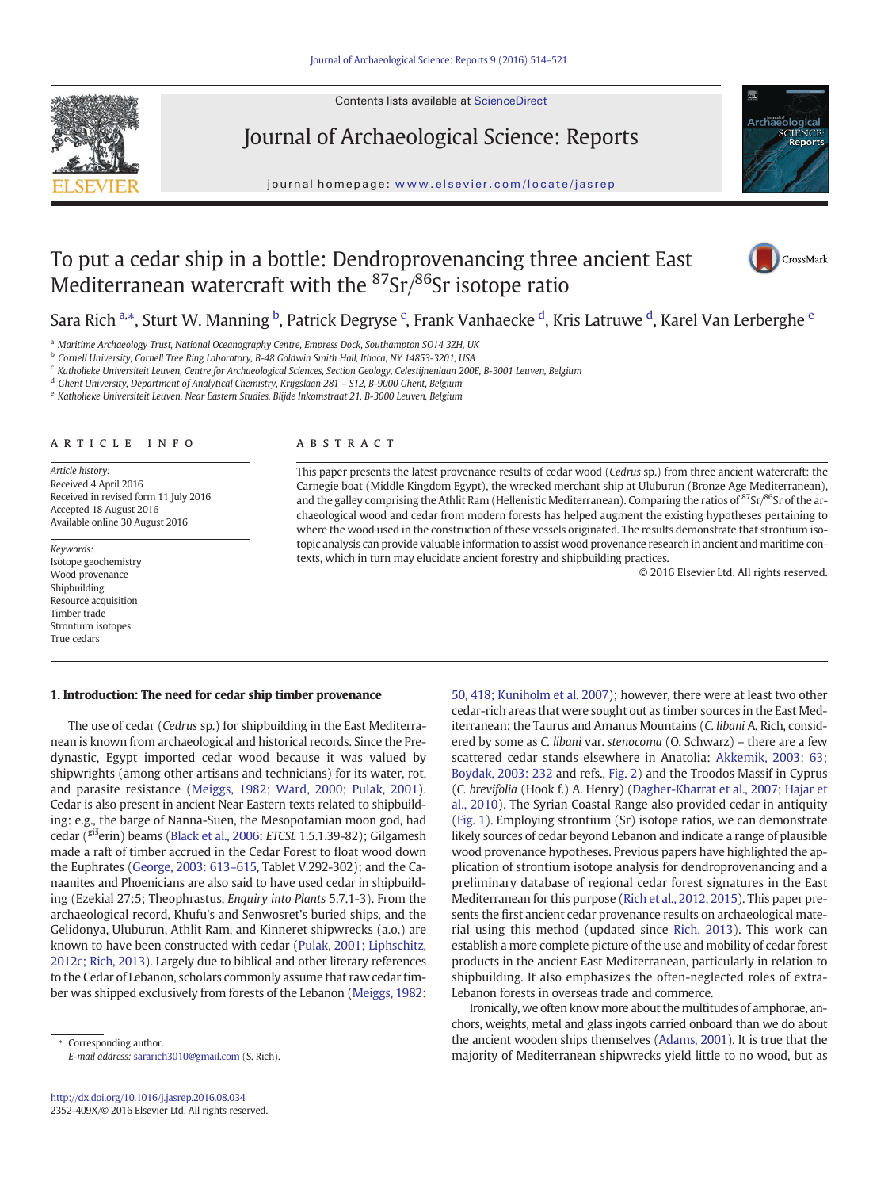Contents lists available at ScienceDirect



Journal of Archaeological Science: Reports

journal homepage: <www.elsevier.com/locate/jasrep>



# To put a cedar ship in a bottle: Dendroprovenancing three ancient East Mediterranean watercraft with the <sup>87</sup>Sr/86Sr isotope ratio



Sara Rich <sup>a,</sup>\*, Sturt W. Manning <sup>b</sup>, Patrick Degryse <sup>c</sup>, Frank Vanhaecke <sup>d</sup>, Kris Latruwe <sup>d</sup>, Karel Van Lerberghe <sup>e</sup>

<sup>a</sup> Maritime Archaeology Trust, National Oceanography Centre, Empress Dock, Southampton SO14 3ZH, UK

<sup>b</sup> Cornell University, Cornell Tree Ring Laboratory, B-48 Goldwin Smith Hall, Ithaca, NY 14853-3201, USA

<sup>c</sup> Katholieke Universiteit Leuven, Centre for Archaeological Sciences, Section Geology, Celestijnenlaan 200E, B-3001 Leuven, Belgium

<sup>d</sup> Ghent University, Department of Analytical Chemistry, Krijgslaan 281 – S12, B-9000 Ghent, Belgium

<sup>e</sup> Katholieke Universiteit Leuven, Near Eastern Studies, Blijde Inkomstraat 21, B-3000 Leuven, Belgium

### article info abstract

Article history: Received 4 April 2016 Received in revised form 11 July 2016 Accepted 18 August 2016 Available online 30 August 2016

Keywords: Isotope geochemistry Wood provenance Shipbuilding Resource acquisition Timber trade Strontium isotopes True cedars

This paper presents the latest provenance results of cedar wood (Cedrus sp.) from three ancient watercraft: the Carnegie boat (Middle Kingdom Egypt), the wrecked merchant ship at Uluburun (Bronze Age Mediterranean), and the galley comprising the Athlit Ram (Hellenistic Mediterranean). Comparing the ratios of <sup>87</sup>Sr/<sup>86</sup>Sr of the archaeological wood and cedar from modern forests has helped augment the existing hypotheses pertaining to where the wood used in the construction of these vessels originated. The results demonstrate that strontium isotopic analysis can provide valuable information to assist wood provenance research in ancient and maritime contexts, which in turn may elucidate ancient forestry and shipbuilding practices.

© 2016 Elsevier Ltd. All rights reserved.

# 1. Introduction: The need for cedar ship timber provenance

The use of cedar (Cedrus sp.) for shipbuilding in the East Mediterranean is known from archaeological and historical records. Since the Predynastic, Egypt imported cedar wood because it was valued by shipwrights (among other artisans and technicians) for its water, rot, and parasite resistance ([Meiggs, 1982; Ward, 2000; Pulak, 2001](#page-6-0)). Cedar is also present in ancient Near Eastern texts related to shipbuilding: e.g., the barge of Nanna-Suen, the Mesopotamian moon god, had cedar (<sup>giš</sup>erin) beams [\(Black et al., 2006](#page-6-0): ETCSL 1.5.1.39-82); Gilgamesh made a raft of timber accrued in the Cedar Forest to float wood down the Euphrates ([George, 2003: 613](#page-6-0)–615, Tablet V.292-302); and the Canaanites and Phoenicians are also said to have used cedar in shipbuilding (Ezekial 27:5; Theophrastus, Enquiry into Plants 5.7.1-3). From the archaeological record, Khufu's and Senwosret's buried ships, and the Gelidonya, Uluburun, Athlit Ram, and Kinneret shipwrecks (a.o.) are known to have been constructed with cedar [\(Pulak, 2001; Liphschitz,](#page-7-0) [2012c; Rich, 2013\)](#page-7-0). Largely due to biblical and other literary references to the Cedar of Lebanon, scholars commonly assume that raw cedar timber was shipped exclusively from forests of the Lebanon [\(Meiggs, 1982:](#page-6-0)

[50, 418; Kuniholm et al. 2007](#page-6-0)); however, there were at least two other cedar-rich areas that were sought out as timber sources in the East Mediterranean: the Taurus and Amanus Mountains (C. libani A. Rich, considered by some as C. libani var. stenocoma (O. Schwarz) – there are a few scattered cedar stands elsewhere in Anatolia: [Akkemik, 2003: 63;](#page-6-0) [Boydak, 2003: 232](#page-6-0) and refs., [Fig. 2\)](#page-4-0) and the Troodos Massif in Cyprus (C. brevifolia (Hook f.) A. Henry) [\(Dagher-Kharrat et al., 2007; Hajar et](#page-6-0) [al., 2010\)](#page-6-0). The Syrian Coastal Range also provided cedar in antiquity [\(Fig. 1](#page-1-0)). Employing strontium (Sr) isotope ratios, we can demonstrate likely sources of cedar beyond Lebanon and indicate a range of plausible wood provenance hypotheses. Previous papers have highlighted the application of strontium isotope analysis for dendroprovenancing and a preliminary database of regional cedar forest signatures in the East Mediterranean for this purpose ([Rich et al., 2012, 2015\)](#page-7-0). This paper presents the first ancient cedar provenance results on archaeological material using this method (updated since [Rich, 2013\)](#page-7-0). This work can establish a more complete picture of the use and mobility of cedar forest products in the ancient East Mediterranean, particularly in relation to shipbuilding. It also emphasizes the often-neglected roles of extra-Lebanon forests in overseas trade and commerce.

Ironically, we often know more about the multitudes of amphorae, anchors, weights, metal and glass ingots carried onboard than we do about the ancient wooden ships themselves [\(Adams, 2001\)](#page-6-0). It is true that the majority of Mediterranean shipwrecks yield little to no wood, but as

Corresponding author. E-mail address: [sararich3010@gmail.com](mailto:sararich3010@gmail.com) (S. Rich).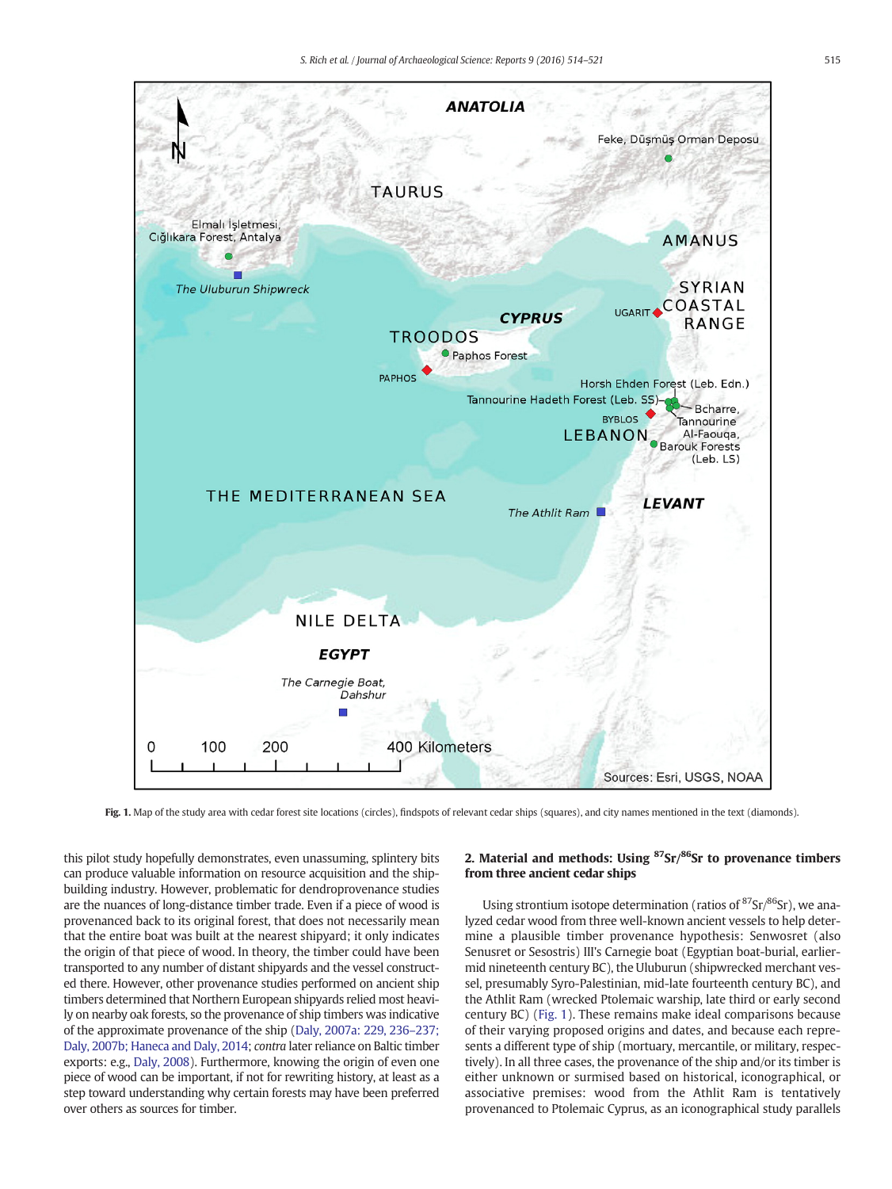<span id="page-1-0"></span>

Fig. 1. Map of the study area with cedar forest site locations (circles), findspots of relevant cedar ships (squares), and city names mentioned in the text (diamonds).

this pilot study hopefully demonstrates, even unassuming, splintery bits can produce valuable information on resource acquisition and the shipbuilding industry. However, problematic for dendroprovenance studies are the nuances of long-distance timber trade. Even if a piece of wood is provenanced back to its original forest, that does not necessarily mean that the entire boat was built at the nearest shipyard; it only indicates the origin of that piece of wood. In theory, the timber could have been transported to any number of distant shipyards and the vessel constructed there. However, other provenance studies performed on ancient ship timbers determined that Northern European shipyards relied most heavily on nearby oak forests, so the provenance of ship timbers was indicative of the approximate provenance of the ship [\(Daly, 2007a: 229, 236](#page-6-0)–237; [Daly, 2007b; Haneca and Daly, 2014;](#page-6-0) contra later reliance on Baltic timber exports: e.g., [Daly, 2008\)](#page-6-0). Furthermore, knowing the origin of even one piece of wood can be important, if not for rewriting history, at least as a step toward understanding why certain forests may have been preferred over others as sources for timber.

# 2. Material and methods: Using  $87$ Sr/ $86$ Sr to provenance timbers from three ancient cedar ships

Using strontium isotope determination (ratios of  $87$ Sr $/86$ Sr), we analyzed cedar wood from three well-known ancient vessels to help determine a plausible timber provenance hypothesis: Senwosret (also Senusret or Sesostris) III's Carnegie boat (Egyptian boat-burial, earliermid nineteenth century BC), the Uluburun (shipwrecked merchant vessel, presumably Syro-Palestinian, mid-late fourteenth century BC), and the Athlit Ram (wrecked Ptolemaic warship, late third or early second century BC) (Fig. 1). These remains make ideal comparisons because of their varying proposed origins and dates, and because each represents a different type of ship (mortuary, mercantile, or military, respectively). In all three cases, the provenance of the ship and/or its timber is either unknown or surmised based on historical, iconographical, or associative premises: wood from the Athlit Ram is tentatively provenanced to Ptolemaic Cyprus, as an iconographical study parallels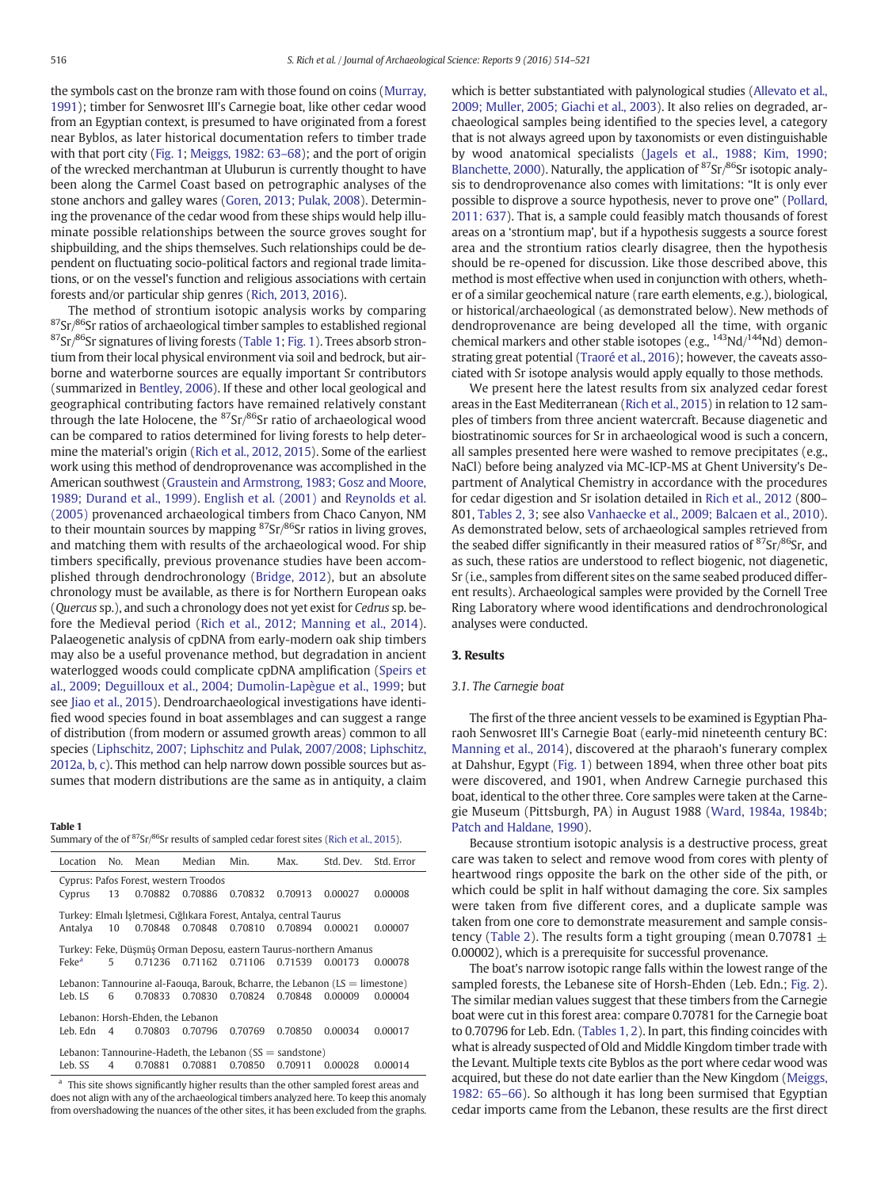<span id="page-2-0"></span>the symbols cast on the bronze ram with those found on coins ([Murray,](#page-6-0) [1991\)](#page-6-0); timber for Senwosret III's Carnegie boat, like other cedar wood from an Egyptian context, is presumed to have originated from a forest near Byblos, as later historical documentation refers to timber trade with that port city ([Fig. 1](#page-1-0); [Meiggs, 1982: 63](#page-6-0)–68); and the port of origin of the wrecked merchantman at Uluburun is currently thought to have been along the Carmel Coast based on petrographic analyses of the stone anchors and galley wares ([Goren, 2013; Pulak, 2008](#page-6-0)). Determining the provenance of the cedar wood from these ships would help illuminate possible relationships between the source groves sought for shipbuilding, and the ships themselves. Such relationships could be dependent on fluctuating socio-political factors and regional trade limitations, or on the vessel's function and religious associations with certain forests and/or particular ship genres ([Rich, 2013, 2016](#page-7-0)).

The method of strontium isotopic analysis works by comparing  $87$ Sr/ $86$ Sr ratios of archaeological timber samples to established regional  $87$ Sr $/86$ Sr signatures of living forests (Table 1; [Fig. 1](#page-1-0)). Trees absorb strontium from their local physical environment via soil and bedrock, but airborne and waterborne sources are equally important Sr contributors (summarized in [Bentley, 2006\)](#page-6-0). If these and other local geological and geographical contributing factors have remained relatively constant through the late Holocene, the 87Sr/86Sr ratio of archaeological wood can be compared to ratios determined for living forests to help determine the material's origin [\(Rich et al., 2012, 2015\)](#page-7-0). Some of the earliest work using this method of dendroprovenance was accomplished in the American southwest [\(Graustein and Armstrong, 1983; Gosz and Moore,](#page-6-0) [1989; Durand et al., 1999](#page-6-0)). [English et al. \(2001\)](#page-6-0) and [Reynolds et al.](#page-7-0) [\(2005\)](#page-7-0) provenanced archaeological timbers from Chaco Canyon, NM to their mountain sources by mapping <sup>87</sup>Sr/<sup>86</sup>Sr ratios in living groves, and matching them with results of the archaeological wood. For ship timbers specifically, previous provenance studies have been accomplished through dendrochronology ([Bridge, 2012\)](#page-6-0), but an absolute chronology must be available, as there is for Northern European oaks (Quercus sp.), and such a chronology does not yet exist for Cedrus sp. before the Medieval period [\(Rich et al., 2012; Manning et al., 2014](#page-7-0)). Palaeogenetic analysis of cpDNA from early-modern oak ship timbers may also be a useful provenance method, but degradation in ancient waterlogged woods could complicate cpDNA amplification [\(Speirs et](#page-7-0) [al., 2009; Deguilloux et al., 2004; Dumolin-Lapègue et al., 1999](#page-7-0); but see [Jiao et al., 2015\)](#page-6-0). Dendroarchaeological investigations have identified wood species found in boat assemblages and can suggest a range of distribution (from modern or assumed growth areas) common to all species ([Liphschitz, 2007; Liphschitz and Pulak, 2007/2008; Liphschitz,](#page-6-0) [2012a, b, c](#page-6-0)). This method can help narrow down possible sources but assumes that modern distributions are the same as in antiquity, a claim

### Table 1

|  | Summary of the of <sup>87</sup> Sr/ <sup>86</sup> Sr results of sampled cedar forest sites (Rich et al., 2015). |  |  |
|--|-----------------------------------------------------------------------------------------------------------------|--|--|
|--|-----------------------------------------------------------------------------------------------------------------|--|--|

| Location                                                   | No.            | Mean                                                                | Median          | Min.    | Max.    | Std. Dev.                                                                             | Std. Error |  |
|------------------------------------------------------------|----------------|---------------------------------------------------------------------|-----------------|---------|---------|---------------------------------------------------------------------------------------|------------|--|
| Cyprus: Pafos Forest, western Troodos                      |                |                                                                     |                 |         |         |                                                                                       |            |  |
| Cyprus                                                     | 13             | 0.70882                                                             | 0.70886         | 0.70832 | 0.70913 | 0.00027                                                                               | 0.00008    |  |
|                                                            |                | Turkey: Elmalı İşletmesi, Cığlıkara Forest, Antalya, central Taurus |                 |         |         |                                                                                       |            |  |
| Antalva                                                    | 10             |                                                                     | 0.70848 0.70848 | 0.70810 | 0.70894 | 0.00021                                                                               | 0.00007    |  |
|                                                            |                |                                                                     |                 |         |         | Turkey: Feke, Düşmüş Orman Deposu, eastern Taurus-northern Amanus                     |            |  |
| Feke <sup>a</sup>                                          | 5              | 0.71236                                                             | 0.71162         | 0.71106 | 0.71539 | 0.00173                                                                               | 0.00078    |  |
|                                                            |                |                                                                     |                 |         |         | Lebanon: Tannourine al-Faouqa, Barouk, Bcharre, the Lebanon $(LS = \text{limestone})$ |            |  |
| Leb IS                                                     | 6              | 0.70833                                                             | 0.70830         | 0.70824 | 0.70848 | 0.00009                                                                               | 0.00004    |  |
| Lebanon: Horsh-Ehden, the Lebanon                          |                |                                                                     |                 |         |         |                                                                                       |            |  |
| Leb. Edn                                                   | $\overline{4}$ | 0.70803                                                             | 0.70796         | 0.70769 | 0.70850 | 0.00034                                                                               | 0.00017    |  |
| Lebanon: Tannourine-Hadeth, the Lebanon $(SS = sandstone)$ |                |                                                                     |                 |         |         |                                                                                       |            |  |
| Leb. SS                                                    | 4              | 0.70881                                                             | 0.70881         | 0.70850 | 0.70911 | 0.00028                                                                               | 0.00014    |  |

<sup>a</sup> This site shows significantly higher results than the other sampled forest areas and does not align with any of the archaeological timbers analyzed here. To keep this anomaly from overshadowing the nuances of the other sites, it has been excluded from the graphs. which is better substantiated with palynological studies [\(Allevato et al.,](#page-6-0) [2009; Muller, 2005; Giachi et al., 2003](#page-6-0)). It also relies on degraded, archaeological samples being identified to the species level, a category that is not always agreed upon by taxonomists or even distinguishable by wood anatomical specialists ([Jagels et al., 1988; Kim, 1990;](#page-6-0) [Blanchette, 2000\)](#page-6-0). Naturally, the application of <sup>87</sup>Sr/<sup>86</sup>Sr isotopic analysis to dendroprovenance also comes with limitations: "It is only ever possible to disprove a source hypothesis, never to prove one" ([Pollard,](#page-7-0) [2011: 637](#page-7-0)). That is, a sample could feasibly match thousands of forest areas on a 'strontium map', but if a hypothesis suggests a source forest area and the strontium ratios clearly disagree, then the hypothesis should be re-opened for discussion. Like those described above, this method is most effective when used in conjunction with others, whether of a similar geochemical nature (rare earth elements, e.g.), biological, or historical/archaeological (as demonstrated below). New methods of dendroprovenance are being developed all the time, with organic chemical markers and other stable isotopes (e.g.,  $^{143}$ Nd/ $^{144}$ Nd) demonstrating great potential ([Traoré et al., 2016\)](#page-7-0); however, the caveats associated with Sr isotope analysis would apply equally to those methods.

We present here the latest results from six analyzed cedar forest areas in the East Mediterranean ([Rich et al., 2015\)](#page-7-0) in relation to 12 samples of timbers from three ancient watercraft. Because diagenetic and biostratinomic sources for Sr in archaeological wood is such a concern, all samples presented here were washed to remove precipitates (e.g., NaCl) before being analyzed via MC-ICP-MS at Ghent University's Department of Analytical Chemistry in accordance with the procedures for cedar digestion and Sr isolation detailed in [Rich et al., 2012](#page-7-0) (800– 801, [Tables 2, 3](#page-3-0); see also [Vanhaecke et al., 2009; Balcaen et al., 2010](#page-7-0)). As demonstrated below, sets of archaeological samples retrieved from the seabed differ significantly in their measured ratios of  $87$ Sr $/86$ Sr, and as such, these ratios are understood to reflect biogenic, not diagenetic, Sr (i.e., samples from different sites on the same seabed produced different results). Archaeological samples were provided by the Cornell Tree Ring Laboratory where wood identifications and dendrochronological analyses were conducted.

# 3. Results

# 3.1. The Carnegie boat

The first of the three ancient vessels to be examined is Egyptian Pharaoh Senwosret III's Carnegie Boat (early-mid nineteenth century BC: [Manning et al., 2014\)](#page-6-0), discovered at the pharaoh's funerary complex at Dahshur, Egypt ([Fig. 1](#page-1-0)) between 1894, when three other boat pits were discovered, and 1901, when Andrew Carnegie purchased this boat, identical to the other three. Core samples were taken at the Carnegie Museum (Pittsburgh, PA) in August 1988 ([Ward, 1984a, 1984b;](#page-7-0) [Patch and Haldane, 1990\)](#page-7-0).

Because strontium isotopic analysis is a destructive process, great care was taken to select and remove wood from cores with plenty of heartwood rings opposite the bark on the other side of the pith, or which could be split in half without damaging the core. Six samples were taken from five different cores, and a duplicate sample was taken from one core to demonstrate measurement and sample consis-tency ([Table 2\)](#page-3-0). The results form a tight grouping (mean 0.70781  $\pm$ 0.00002), which is a prerequisite for successful provenance.

The boat's narrow isotopic range falls within the lowest range of the sampled forests, the Lebanese site of Horsh-Ehden (Leb. Edn.; [Fig. 2](#page-4-0)). The similar median values suggest that these timbers from the Carnegie boat were cut in this forest area: compare 0.70781 for the Carnegie boat to 0.70796 for Leb. Edn. (Tables 1, 2). In part, this finding coincides with what is already suspected of Old and Middle Kingdom timber trade with the Levant. Multiple texts cite Byblos as the port where cedar wood was acquired, but these do not date earlier than the New Kingdom ([Meiggs,](#page-6-0) [1982: 65](#page-6-0)–66). So although it has long been surmised that Egyptian cedar imports came from the Lebanon, these results are the first direct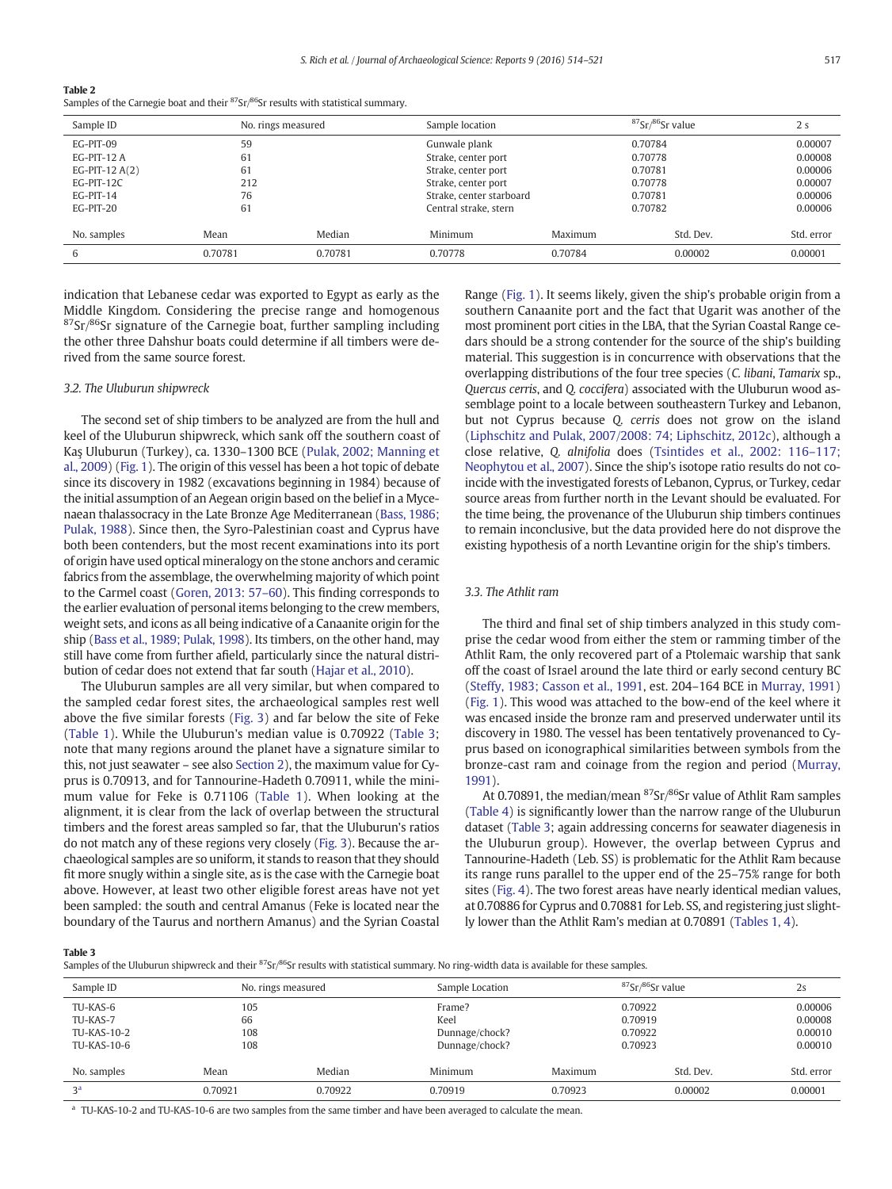#### <span id="page-3-0"></span>Table 2

Samples of the Carnegie boat and their <sup>87</sup>Sr/<sup>86</sup>Sr results with statistical summary.

| Sample ID        |         | No. rings measured |                                  | Sample location          |           | 2 <sub>s</sub> |
|------------------|---------|--------------------|----------------------------------|--------------------------|-----------|----------------|
| EG-PIT-09        | 59      |                    |                                  | Gunwale plank            |           | 0.00007        |
| EG-PIT-12 A      | 61      |                    |                                  | Strake, center port      |           | 0.00008        |
| EG-PIT-12 $A(2)$ | 61      |                    | Strake, center port              |                          |           | 0.00006        |
| EG-PIT-12C       | 212     |                    |                                  | Strake, center port      |           | 0.00007        |
| EG-PIT-14        | 76      |                    |                                  | Strake, center starboard |           | 0.00006        |
| EG-PIT-20        | 61      |                    | Central strake, stern<br>0.70782 |                          |           | 0.00006        |
| No. samples      | Mean    | Median             | Minimum                          | Maximum                  | Std. Dev. | Std. error     |
| 6                | 0.70781 | 0.70781            | 0.70778                          | 0.70784                  | 0.00002   | 0.00001        |

indication that Lebanese cedar was exported to Egypt as early as the Middle Kingdom. Considering the precise range and homogenous  $87$ Sr/ $86$ Sr signature of the Carnegie boat, further sampling including the other three Dahshur boats could determine if all timbers were derived from the same source forest.

# 3.2. The Uluburun shipwreck

The second set of ship timbers to be analyzed are from the hull and keel of the Uluburun shipwreck, which sank off the southern coast of Kaș Uluburun (Turkey), ca. 1330–1300 BCE ([Pulak, 2002; Manning et](#page-7-0) [al., 2009\)](#page-7-0) [\(Fig. 1\)](#page-1-0). The origin of this vessel has been a hot topic of debate since its discovery in 1982 (excavations beginning in 1984) because of the initial assumption of an Aegean origin based on the belief in a Mycenaean thalassocracy in the Late Bronze Age Mediterranean [\(Bass, 1986;](#page-6-0) [Pulak, 1988](#page-6-0)). Since then, the Syro-Palestinian coast and Cyprus have both been contenders, but the most recent examinations into its port of origin have used optical mineralogy on the stone anchors and ceramic fabrics from the assemblage, the overwhelming majority of which point to the Carmel coast [\(Goren, 2013: 57](#page-6-0)–60). This finding corresponds to the earlier evaluation of personal items belonging to the crew members, weight sets, and icons as all being indicative of a Canaanite origin for the ship ([Bass et al., 1989; Pulak, 1998](#page-6-0)). Its timbers, on the other hand, may still have come from further afield, particularly since the natural distribution of cedar does not extend that far south [\(Hajar et al., 2010\)](#page-6-0).

The Uluburun samples are all very similar, but when compared to the sampled cedar forest sites, the archaeological samples rest well above the five similar forests ([Fig. 3](#page-4-0)) and far below the site of Feke [\(Table 1](#page-2-0)). While the Uluburun's median value is 0.70922 (Table 3; note that many regions around the planet have a signature similar to this, not just seawater – see also [Section 2\)](#page-1-0), the maximum value for Cyprus is 0.70913, and for Tannourine-Hadeth 0.70911, while the minimum value for Feke is 0.71106 ([Table 1](#page-2-0)). When looking at the alignment, it is clear from the lack of overlap between the structural timbers and the forest areas sampled so far, that the Uluburun's ratios do not match any of these regions very closely [\(Fig. 3\)](#page-4-0). Because the archaeological samples are so uniform, it stands to reason that they should fit more snugly within a single site, as is the case with the Carnegie boat above. However, at least two other eligible forest areas have not yet been sampled: the south and central Amanus (Feke is located near the boundary of the Taurus and northern Amanus) and the Syrian Coastal Range [\(Fig. 1\)](#page-1-0). It seems likely, given the ship's probable origin from a southern Canaanite port and the fact that Ugarit was another of the most prominent port cities in the LBA, that the Syrian Coastal Range cedars should be a strong contender for the source of the ship's building material. This suggestion is in concurrence with observations that the overlapping distributions of the four tree species (C. libani, Tamarix sp., Quercus cerris, and Q. coccifera) associated with the Uluburun wood assemblage point to a locale between southeastern Turkey and Lebanon, but not Cyprus because Q. cerris does not grow on the island [\(Liphschitz and Pulak, 2007/2008: 74; Liphschitz, 2012c](#page-6-0)), although a close relative, Q. alnifolia does [\(Tsintides et al., 2002: 116](#page-7-0)–117; [Neophytou et al., 2007](#page-6-0)). Since the ship's isotope ratio results do not coincide with the investigated forests of Lebanon, Cyprus, or Turkey, cedar source areas from further north in the Levant should be evaluated. For the time being, the provenance of the Uluburun ship timbers continues to remain inconclusive, but the data provided here do not disprove the existing hypothesis of a north Levantine origin for the ship's timbers.

# 3.3. The Athlit ram

The third and final set of ship timbers analyzed in this study comprise the cedar wood from either the stem or ramming timber of the Athlit Ram, the only recovered part of a Ptolemaic warship that sank off the coast of Israel around the late third or early second century BC [\(Steffy, 1983; Casson et al., 1991,](#page-7-0) est. 204–164 BCE in [Murray, 1991](#page-6-0)) [\(Fig. 1](#page-1-0)). This wood was attached to the bow-end of the keel where it was encased inside the bronze ram and preserved underwater until its discovery in 1980. The vessel has been tentatively provenanced to Cyprus based on iconographical similarities between symbols from the bronze-cast ram and coinage from the region and period [\(Murray,](#page-6-0) [1991](#page-6-0)).

At 0.70891, the median/mean  ${}^{87}Sr/{}^{86}Sr$  value of Athlit Ram samples [\(Table 4\)](#page-5-0) is significantly lower than the narrow range of the Uluburun dataset (Table 3; again addressing concerns for seawater diagenesis in the Uluburun group). However, the overlap between Cyprus and Tannourine-Hadeth (Leb. SS) is problematic for the Athlit Ram because its range runs parallel to the upper end of the 25–75% range for both sites [\(Fig. 4\)](#page-5-0). The two forest areas have nearly identical median values, at 0.70886 for Cyprus and 0.70881 for Leb. SS, and registering just slightly lower than the Athlit Ram's median at 0.70891 ([Tables 1, 4\)](#page-2-0).

Table 3

Samples of the Uluburun shipwreck and their  ${}^{87}Sr/{}^{86}Sr$  results with statistical summary. No ring-width data is available for these samples.

| Sample ID                                          | No. rings measured      |         | Sample Location                                    |         | $87$ Sr $/86$ Sr value                   | 2s                                       |
|----------------------------------------------------|-------------------------|---------|----------------------------------------------------|---------|------------------------------------------|------------------------------------------|
| TU-KAS-6<br>TU-KAS-7<br>TU-KAS-10-2<br>TU-KAS-10-6 | 105<br>66<br>108<br>108 |         | Frame?<br>Keel<br>Dunnage/chock?<br>Dunnage/chock? |         | 0.70922<br>0.70919<br>0.70922<br>0.70923 | 0.00006<br>0.00008<br>0.00010<br>0.00010 |
| No. samples                                        | Mean                    | Median  | Minimum                                            | Maximum | Std. Dev.                                | Std. error                               |
| 3 <sup>a</sup>                                     | 0.70921                 | 0.70922 | 0.70919                                            | 0.70923 | 0.00002                                  | 0.00001                                  |

<sup>a</sup> TU-KAS-10-2 and TU-KAS-10-6 are two samples from the same timber and have been averaged to calculate the mean.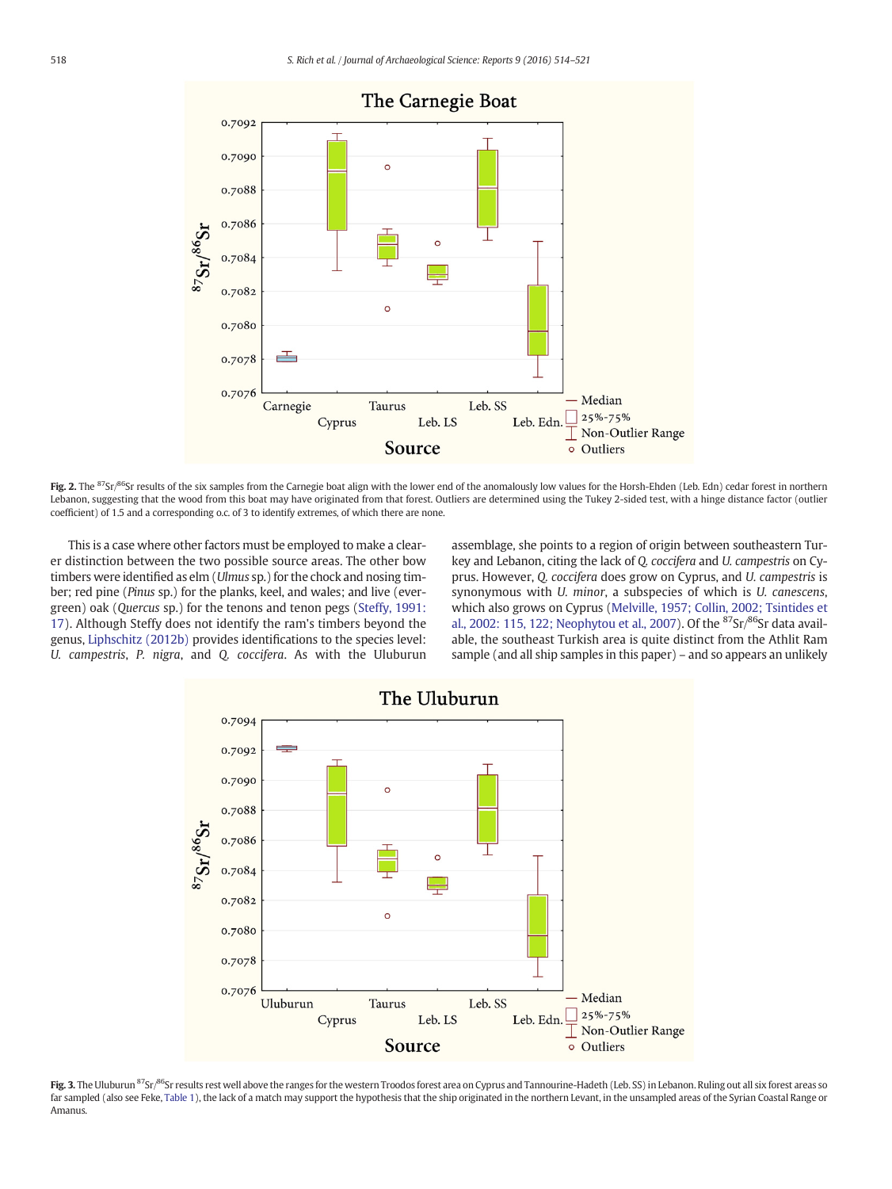<span id="page-4-0"></span>

Fig. 2. The <sup>87</sup>Sr/<sup>86</sup>Sr results of the six samples from the Carnegie boat align with the lower end of the anomalously low values for the Horsh-Ehden (Leb. Edn) cedar forest in northern Lebanon, suggesting that the wood from this boat may have originated from that forest. Outliers are determined using the Tukey 2-sided test, with a hinge distance factor (outlier coefficient) of 1.5 and a corresponding o.c. of 3 to identify extremes, of which there are none.

This is a case where other factors must be employed to make a clearer distinction between the two possible source areas. The other bow timbers were identified as elm (Ulmus sp.) for the chock and nosing timber; red pine (Pinus sp.) for the planks, keel, and wales; and live (evergreen) oak (Quercus sp.) for the tenons and tenon pegs [\(Steffy, 1991:](#page-7-0) [17\)](#page-7-0). Although Steffy does not identify the ram's timbers beyond the genus, [Liphschitz \(2012b\)](#page-6-0) provides identifications to the species level: U. campestris, P. nigra, and Q. coccifera. As with the Uluburun assemblage, she points to a region of origin between southeastern Turkey and Lebanon, citing the lack of Q. coccifera and U. campestris on Cyprus. However, Q. coccifera does grow on Cyprus, and U. campestris is synonymous with U. minor, a subspecies of which is U. canescens, which also grows on Cyprus [\(Melville, 1957; Collin, 2002; Tsintides et](#page-6-0) [al., 2002: 115, 122; Neophytou et al., 2007\)](#page-6-0). Of the  ${}^{87}Sr/{}^{86}Sr$  data available, the southeast Turkish area is quite distinct from the Athlit Ram sample (and all ship samples in this paper) – and so appears an unlikely



Fig. 3. The Uluburun <sup>87</sup>Sr/<sup>86</sup>Sr results rest well above the ranges for the western Troodos forest area on Cyprus and Tannourine-Hadeth (Leb. SS) in Lebanon. Ruling out all six forest areas so far sampled (also see Feke, [Table 1](#page-2-0)), the lack of a match may support the hypothesis that the ship originated in the northern Levant, in the unsampled areas of the Syrian Coastal Range or Amanus.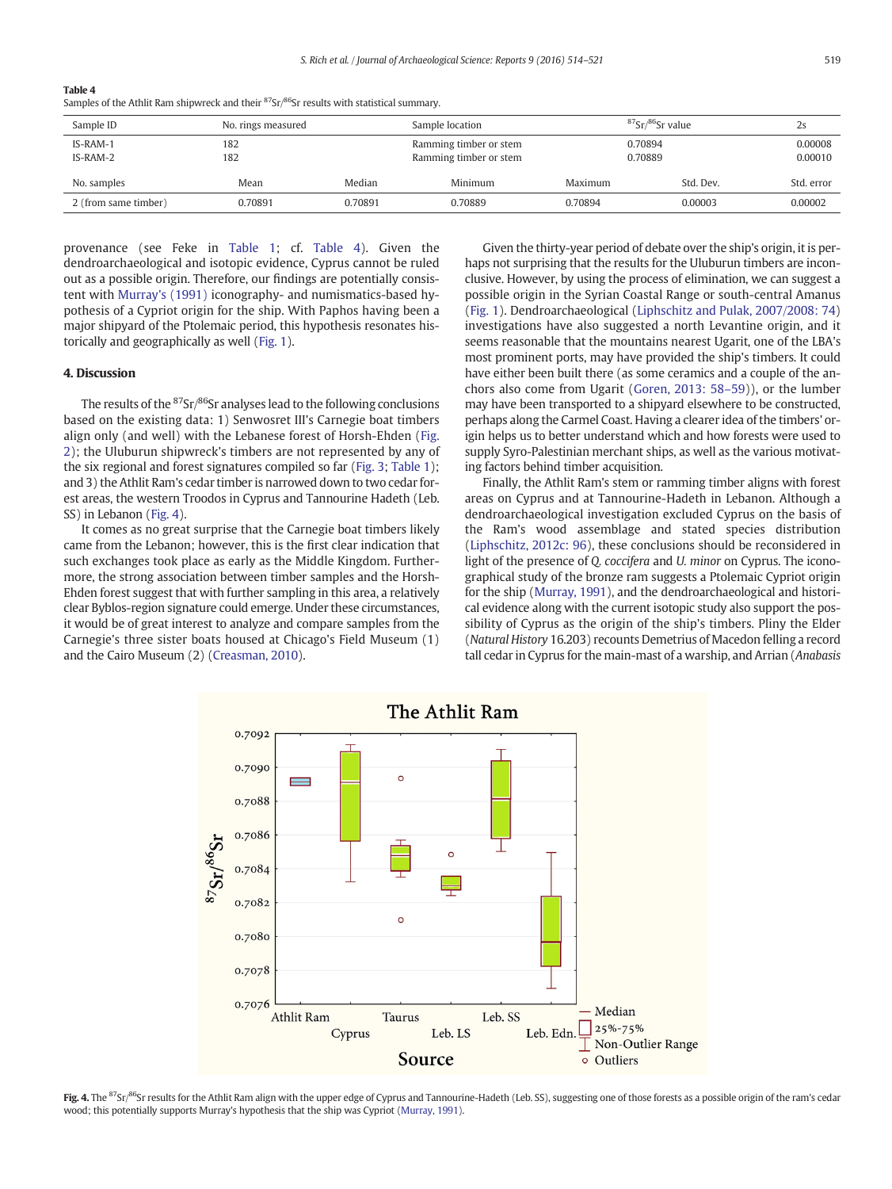# <span id="page-5-0"></span>Table 4

Samples of the Athlit Ram shipwreck and their  $87$ Sr $/86$ Sr results with statistical summary.

| Sample ID            | No. rings measured |         | Sample location                                  |                    | $87$ Sr $/86$ Sr value |                    |
|----------------------|--------------------|---------|--------------------------------------------------|--------------------|------------------------|--------------------|
| IS-RAM-1<br>IS-RAM-2 | 182<br>182         |         | Ramming timber or stem<br>Ramming timber or stem | 0.70894<br>0.70889 |                        | 0.00008<br>0.00010 |
| No. samples          | Mean               | Median  | Minimum                                          | Maximum            | Std. Dev.              | Std. error         |
| 2 (from same timber) | 0.70891            | 0.70891 | 0.70889                                          | 0.70894            | 0.00003                | 0.00002            |

provenance (see Feke in [Table 1](#page-2-0); cf. Table 4). Given the dendroarchaeological and isotopic evidence, Cyprus cannot be ruled out as a possible origin. Therefore, our findings are potentially consistent with [Murray's \(1991\)](#page-6-0) iconography- and numismatics-based hypothesis of a Cypriot origin for the ship. With Paphos having been a major shipyard of the Ptolemaic period, this hypothesis resonates historically and geographically as well ([Fig. 1\)](#page-1-0).

# 4. Discussion

The results of the  ${}^{87}Sr/{}^{86}Sr$  analyses lead to the following conclusions based on the existing data: 1) Senwosret III's Carnegie boat timbers align only (and well) with the Lebanese forest of Horsh-Ehden ([Fig.](#page-4-0) [2](#page-4-0)); the Uluburun shipwreck's timbers are not represented by any of the six regional and forest signatures compiled so far ([Fig. 3;](#page-4-0) [Table 1](#page-2-0)); and 3) the Athlit Ram's cedar timber is narrowed down to two cedar forest areas, the western Troodos in Cyprus and Tannourine Hadeth (Leb. SS) in Lebanon (Fig. 4).

It comes as no great surprise that the Carnegie boat timbers likely came from the Lebanon; however, this is the first clear indication that such exchanges took place as early as the Middle Kingdom. Furthermore, the strong association between timber samples and the Horsh-Ehden forest suggest that with further sampling in this area, a relatively clear Byblos-region signature could emerge. Under these circumstances, it would be of great interest to analyze and compare samples from the Carnegie's three sister boats housed at Chicago's Field Museum (1) and the Cairo Museum (2) [\(Creasman, 2010\)](#page-6-0).

Given the thirty-year period of debate over the ship's origin, it is perhaps not surprising that the results for the Uluburun timbers are inconclusive. However, by using the process of elimination, we can suggest a possible origin in the Syrian Coastal Range or south-central Amanus [\(Fig. 1](#page-1-0)). Dendroarchaeological ([Liphschitz and Pulak, 2007/2008: 74](#page-6-0)) investigations have also suggested a north Levantine origin, and it seems reasonable that the mountains nearest Ugarit, one of the LBA's most prominent ports, may have provided the ship's timbers. It could have either been built there (as some ceramics and a couple of the anchors also come from Ugarit [\(Goren, 2013: 58](#page-6-0)–59)), or the lumber may have been transported to a shipyard elsewhere to be constructed, perhaps along the Carmel Coast. Having a clearer idea of the timbers' origin helps us to better understand which and how forests were used to supply Syro-Palestinian merchant ships, as well as the various motivating factors behind timber acquisition.

Finally, the Athlit Ram's stem or ramming timber aligns with forest areas on Cyprus and at Tannourine-Hadeth in Lebanon. Although a dendroarchaeological investigation excluded Cyprus on the basis of the Ram's wood assemblage and stated species distribution [\(Liphschitz, 2012c: 96\)](#page-6-0), these conclusions should be reconsidered in light of the presence of Q. coccifera and U. minor on Cyprus. The iconographical study of the bronze ram suggests a Ptolemaic Cypriot origin for the ship [\(Murray, 1991](#page-6-0)), and the dendroarchaeological and historical evidence along with the current isotopic study also support the possibility of Cyprus as the origin of the ship's timbers. Pliny the Elder (Natural History 16.203) recounts Demetrius of Macedon felling a record tall cedar in Cyprus for the main-mast of a warship, and Arrian (Anabasis



Fig. 4. The <sup>87</sup>Sr/<sup>86</sup>Sr results for the Athlit Ram align with the upper edge of Cyprus and Tannourine-Hadeth (Leb. SS), suggesting one of those forests as a possible origin of the ram's cedar wood; this potentially supports Murray's hypothesis that the ship was Cypriot ([Murray, 1991](#page-6-0)).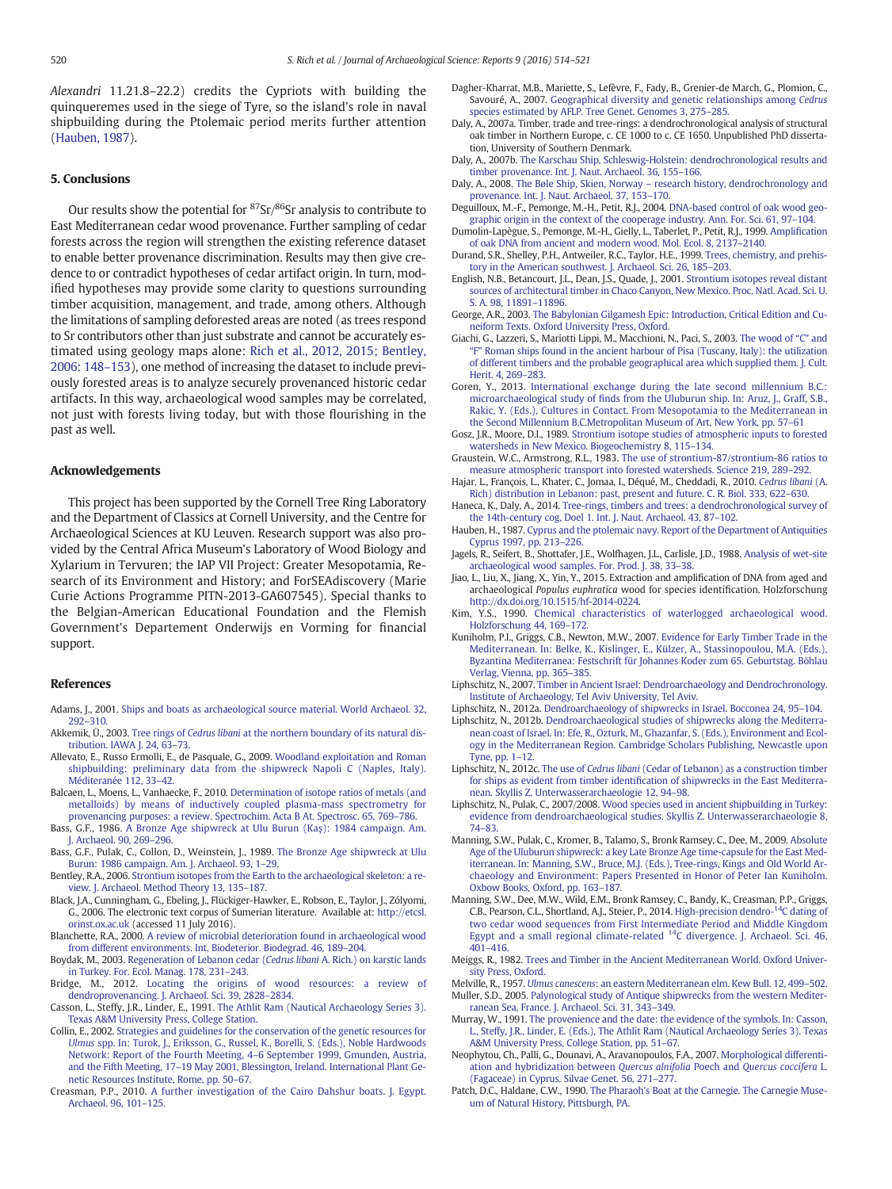<span id="page-6-0"></span>Alexandri 11.21.8–22.2) credits the Cypriots with building the quinqueremes used in the siege of Tyre, so the island's role in naval shipbuilding during the Ptolemaic period merits further attention (Hauben, 1987).

# 5. Conclusions

Our results show the potential for  ${}^{87}Sr/{}^{86}Sr$  analysis to contribute to East Mediterranean cedar wood provenance. Further sampling of cedar forests across the region will strengthen the existing reference dataset to enable better provenance discrimination. Results may then give credence to or contradict hypotheses of cedar artifact origin. In turn, modified hypotheses may provide some clarity to questions surrounding timber acquisition, management, and trade, among others. Although the limitations of sampling deforested areas are noted (as trees respond to Sr contributors other than just substrate and cannot be accurately estimated using geology maps alone: [Rich et al., 2012, 2015; Bentley,](#page-7-0) [2006: 148](#page-7-0)–153), one method of increasing the dataset to include previously forested areas is to analyze securely provenanced historic cedar artifacts. In this way, archaeological wood samples may be correlated, not just with forests living today, but with those flourishing in the past as well.

# Acknowledgements

This project has been supported by the Cornell Tree Ring Laboratory and the Department of Classics at Cornell University, and the Centre for Archaeological Sciences at KU Leuven. Research support was also provided by the Central Africa Museum's Laboratory of Wood Biology and Xylarium in Tervuren; the IAP VII Project: Greater Mesopotamia, Research of its Environment and History; and ForSEAdiscovery (Marie Curie Actions Programme PITN-2013-GA607545). Special thanks to the Belgian-American Educational Foundation and the Flemish Government's Departement Onderwijs en Vorming for financial support.

# References

- Adams, J., 2001. [Ships and boats as archaeological source material. World Archaeol. 32,](http://refhub.elsevier.com/S2352-409X(16)30492-8/rf0005) 292–[310.](http://refhub.elsevier.com/S2352-409X(16)30492-8/rf0005)
- Akkemik, Ü., 2003. Tree rings of Cedrus libani [at the northern boundary of its natural dis](http://refhub.elsevier.com/S2352-409X(16)30492-8/rf0010)[tribution. IAWA J. 24, 63](http://refhub.elsevier.com/S2352-409X(16)30492-8/rf0010)–73.
- Allevato, E., Russo Ermolli, E., de Pasquale, G., 2009. [Woodland exploitation and Roman](http://refhub.elsevier.com/S2352-409X(16)30492-8/rf0015) [shipbuilding: preliminary data from the shipwreck Napoli C \(Naples, Italy\).](http://refhub.elsevier.com/S2352-409X(16)30492-8/rf0015) [Méditeranée 112, 33](http://refhub.elsevier.com/S2352-409X(16)30492-8/rf0015)–42.
- Balcaen, L., Moens, L., Vanhaecke, F., 2010. [Determination of isotope ratios of metals \(and](http://refhub.elsevier.com/S2352-409X(16)30492-8/rf0020) [metalloids\) by means of inductively coupled plasma-mass spectrometry for](http://refhub.elsevier.com/S2352-409X(16)30492-8/rf0020) [provenancing purposes: a review. Spectrochim. Acta B At. Spectrosc. 65, 769](http://refhub.elsevier.com/S2352-409X(16)30492-8/rf0020)–786.
- Bass, G.F., 1986. [A Bronze Age shipwreck at Ulu Burun \(Ka](http://refhub.elsevier.com/S2352-409X(16)30492-8/rf0025)ş): 1984 campaign. Am. [J. Archaeol. 90, 269](http://refhub.elsevier.com/S2352-409X(16)30492-8/rf0025)–296.
- Bass, G.F., Pulak, C., Collon, D., Weinstein, J., 1989. [The Bronze Age shipwreck at Ulu](http://refhub.elsevier.com/S2352-409X(16)30492-8/rf0030) [Burun: 1986 campaign. Am. J. Archaeol. 93, 1](http://refhub.elsevier.com/S2352-409X(16)30492-8/rf0030)–29.
- Bentley, R.A., 2006. [Strontium isotopes from the Earth to the archaeological skeleton: a re](http://refhub.elsevier.com/S2352-409X(16)30492-8/rf0035)[view. J. Archaeol. Method Theory 13, 135](http://refhub.elsevier.com/S2352-409X(16)30492-8/rf0035)–187.
- Black, J.A., Cunningham, G., Ebeling, J., Flückiger-Hawker, E., Robson, E., Taylor, J., Zólyomi, G., 2006. The electronic text corpus of Sumerian literature. Available at: [http://etcsl.](http://etcsl.orinst.ox.ac.uk) [orinst.ox.ac.uk](http://etcsl.orinst.ox.ac.uk) (accessed 11 July 2016).
- Blanchette, R.A., 2000. [A review of microbial deterioration found in archaeological wood](http://refhub.elsevier.com/S2352-409X(16)30492-8/rf0045) [from different environments. Int. Biodeterior. Biodegrad. 46, 189](http://refhub.elsevier.com/S2352-409X(16)30492-8/rf0045)–204.
- Boydak, M., 2003. [Regeneration of Lebanon cedar \(](http://refhub.elsevier.com/S2352-409X(16)30492-8/rf0050)Cedrus libani A. Rich.) on karstic lands [in Turkey. For. Ecol. Manag. 178, 231](http://refhub.elsevier.com/S2352-409X(16)30492-8/rf0050)–243.
- Bridge, M., 2012. [Locating the origins of wood resources: a review of](http://refhub.elsevier.com/S2352-409X(16)30492-8/rf0055) [dendroprovenancing. J. Archaeol. Sci. 39, 2828](http://refhub.elsevier.com/S2352-409X(16)30492-8/rf0055)–2834.
- Casson, L., Steffy, J.R., Linder, E., 1991. [The Athlit Ram \(Nautical Archaeology Series 3\).](http://refhub.elsevier.com/S2352-409X(16)30492-8/rf0060) [Texas A&M University Press, College Station.](http://refhub.elsevier.com/S2352-409X(16)30492-8/rf0060)
- Collin, E., 2002. [Strategies and guidelines for the conservation of the genetic resources for](http://refhub.elsevier.com/S2352-409X(16)30492-8/rf0065) Ulmus [spp. In: Turok, J., Eriksson, G., Russel, K., Borelli, S. \(Eds.\), Noble Hardwoods](http://refhub.elsevier.com/S2352-409X(16)30492-8/rf0065) [Network: Report of the Fourth Meeting, 4](http://refhub.elsevier.com/S2352-409X(16)30492-8/rf0065)–6 September 1999, Gmunden, Austria, and the Fifth Meeting, 17–[19 May 2001, Blessington, Ireland. International Plant Ge](http://refhub.elsevier.com/S2352-409X(16)30492-8/rf0065)[netic Resources Institute, Rome, pp. 50](http://refhub.elsevier.com/S2352-409X(16)30492-8/rf0065)–67.
- Creasman, P.P., 2010. [A further investigation of the Cairo Dahshur boats. J. Egypt.](http://refhub.elsevier.com/S2352-409X(16)30492-8/rf0070) [Archaeol. 96, 101](http://refhub.elsevier.com/S2352-409X(16)30492-8/rf0070)–125.
- Dagher-Kharrat, M.B., Mariette, S., Lefèvre, F., Fady, B., Grenier-de March, G., Plomion, C., Savouré, A., 2007. [Geographical diversity and genetic relationships among](http://refhub.elsevier.com/S2352-409X(16)30492-8/rf0075) Cedrus [species estimated by AFLP. Tree Genet. Genomes 3, 275](http://refhub.elsevier.com/S2352-409X(16)30492-8/rf0075)–285.
- Daly, A., 2007a. Timber, trade and tree-rings: a dendrochronological analysis of structural oak timber in Northern Europe, c. CE 1000 to c. CE 1650. Unpublished PhD dissertation, University of Southern Denmark.
- Daly, A., 2007b. [The Karschau Ship, Schleswig-Holstein: dendrochronological results and](http://refhub.elsevier.com/S2352-409X(16)30492-8/rf0080) [timber provenance. Int. J. Naut. Archaeol. 36, 155](http://refhub.elsevier.com/S2352-409X(16)30492-8/rf0080)–166.
- Daly, A., 2008. The Bøle Ship, Skien, Norway [research history, dendrochronology and](http://refhub.elsevier.com/S2352-409X(16)30492-8/rf0085) [provenance. Int. J. Naut. Archaeol. 37, 153](http://refhub.elsevier.com/S2352-409X(16)30492-8/rf0085)–170.
- Deguilloux, M.-F., Pemonge, M.-H., Petit, R.J., 2004. [DNA-based control of oak wood geo](http://refhub.elsevier.com/S2352-409X(16)30492-8/rf0090)[graphic origin in the context of the cooperage industry. Ann. For. Sci. 61, 97](http://refhub.elsevier.com/S2352-409X(16)30492-8/rf0090)–104.
- Dumolin-Lapègue, S., Pemonge, M.-H., Gielly, L., Taberlet, P., Petit, R.J., 1999. Amplifi[cation](http://refhub.elsevier.com/S2352-409X(16)30492-8/rf0095) [of oak DNA from ancient and modern wood. Mol. Ecol. 8, 2137](http://refhub.elsevier.com/S2352-409X(16)30492-8/rf0095)–2140.
- Durand, S.R., Shelley, P.H., Antweiler, R.C., Taylor, H.E., 1999. [Trees, chemistry, and prehis](http://refhub.elsevier.com/S2352-409X(16)30492-8/rf0100)[tory in the American southwest. J. Archaeol. Sci. 26, 185](http://refhub.elsevier.com/S2352-409X(16)30492-8/rf0100)–203.
- English, N.B., Betancourt, J.L., Dean, J.S., Quade, J., 2001. [Strontium isotopes reveal distant](http://refhub.elsevier.com/S2352-409X(16)30492-8/rf0105) [sources of architectural timber in Chaco Canyon, New Mexico. Proc. Natl. Acad. Sci. U.](http://refhub.elsevier.com/S2352-409X(16)30492-8/rf0105) [S. A. 98, 11891](http://refhub.elsevier.com/S2352-409X(16)30492-8/rf0105)–11896.
- George, A.R., 2003. [The Babylonian Gilgamesh Epic: Introduction, Critical Edition and Cu](http://refhub.elsevier.com/S2352-409X(16)30492-8/rf0110)[neiform Texts. Oxford University Press, Oxford](http://refhub.elsevier.com/S2352-409X(16)30492-8/rf0110).
- Giachi, G., Lazzeri, S., Mariotti Lippi, M., Macchioni, N., Paci, S., 2003. [The wood of](http://refhub.elsevier.com/S2352-409X(16)30492-8/rf0115) "C" and "F" [Roman ships found in the ancient harbour of Pisa \(Tuscany, Italy\): the utilization](http://refhub.elsevier.com/S2352-409X(16)30492-8/rf0115) [of different timbers and the probable geographical area which supplied them. J. Cult.](http://refhub.elsevier.com/S2352-409X(16)30492-8/rf0115) [Herit. 4, 269](http://refhub.elsevier.com/S2352-409X(16)30492-8/rf0115)–283.
- Goren, Y., 2013. [International exchange during the late second millennium B.C.:](http://refhub.elsevier.com/S2352-409X(16)30492-8/rf0120) microarchaeological study of fi[nds from the Uluburun ship. In: Aruz, J., Graff, S.B.,](http://refhub.elsevier.com/S2352-409X(16)30492-8/rf0120) [Rakic, Y. \(Eds.\), Cultures in Contact. From Mesopotamia to the Mediterranean in](http://refhub.elsevier.com/S2352-409X(16)30492-8/rf0120) [the Second Millennium B.C.Metropolitan Museum of Art, New York, pp. 57](http://refhub.elsevier.com/S2352-409X(16)30492-8/rf0120)–61
- Gosz, J.R., Moore, D.I., 1989. [Strontium isotope studies of atmospheric inputs to forested](http://refhub.elsevier.com/S2352-409X(16)30492-8/rf0125) [watersheds in New Mexico. Biogeochemistry 8, 115](http://refhub.elsevier.com/S2352-409X(16)30492-8/rf0125)–134.
- Graustein, W.C., Armstrong, R.L., 1983. [The use of strontium-87/strontium-86 ratios to](http://refhub.elsevier.com/S2352-409X(16)30492-8/rf0130) [measure atmospheric transport into forested watersheds. Science 219, 289](http://refhub.elsevier.com/S2352-409X(16)30492-8/rf0130)–292.
- Hajar, L., François, L., Khater, C., Jomaa, I., Déqué, M., Cheddadi, R., 2010. [Cedrus libani](http://refhub.elsevier.com/S2352-409X(16)30492-8/rf0135) (A. [Rich\) distribution in Lebanon: past, present and future. C. R. Biol. 333, 622](http://refhub.elsevier.com/S2352-409X(16)30492-8/rf0135)–630.
- Haneca, K., Daly, A., 2014. [Tree-rings, timbers and trees: a dendrochronological survey of](http://refhub.elsevier.com/S2352-409X(16)30492-8/rf0140) [the 14th-century cog, Doel 1. Int. J. Naut. Archaeol. 43, 87](http://refhub.elsevier.com/S2352-409X(16)30492-8/rf0140)–102.
- Hauben, H., 1987. [Cyprus and the ptolemaic navy. Report of the Department of Antiquities](http://refhub.elsevier.com/S2352-409X(16)30492-8/rf0145) [Cyprus 1997, pp. 213](http://refhub.elsevier.com/S2352-409X(16)30492-8/rf0145)–226.
- Jagels, R., Seifert, B., Shottafer, J.E., Wolfhagen, J.L., Carlisle, J.D., 1988. [Analysis of wet-site](http://refhub.elsevier.com/S2352-409X(16)30492-8/rf0150) [archaeological wood samples. For. Prod. J. 38, 33](http://refhub.elsevier.com/S2352-409X(16)30492-8/rf0150)–38.
- Jiao, L., Liu, X., Jiang, X., Yin, Y., 2015. Extraction and amplification of DNA from aged and archaeological Populus euphratica wood for species identification. Holzforschung http://dx.doi.org[/10.1515/hf-2014-0224.](http://dx.doi.org/10.1515/hf-2014-0224)
- Kim, Y.S., 1990. [Chemical characteristics of waterlogged archaeological wood.](http://refhub.elsevier.com/S2352-409X(16)30492-8/rf0160) [Holzforschung 44, 169](http://refhub.elsevier.com/S2352-409X(16)30492-8/rf0160)–172.
- Kuniholm, P.I., Griggs, C.B., Newton, M.W., 2007. [Evidence for Early Timber Trade in the](http://refhub.elsevier.com/S2352-409X(16)30492-8/rf2000) [Mediterranean. In: Belke, K., Kislinger, E., Külzer, A., Stassinopoulou, M.A. \(Eds.\),](http://refhub.elsevier.com/S2352-409X(16)30492-8/rf2000) [Byzantina Mediterranea: Festschrift für Johannes Koder zum 65. Geburtstag. Böhlau](http://refhub.elsevier.com/S2352-409X(16)30492-8/rf2000) [Verlag, Vienna, pp. 365](http://refhub.elsevier.com/S2352-409X(16)30492-8/rf2000)–385.
- Liphschitz, N., 2007. [Timber in Ancient Israel: Dendroarchaeology and Dendrochronology.](http://refhub.elsevier.com/S2352-409X(16)30492-8/rf0170) [Institute of Archaeology, Tel Aviv University, Tel Aviv.](http://refhub.elsevier.com/S2352-409X(16)30492-8/rf0170)
- Liphschitz, N., 2012a. [Dendroarchaeology of shipwrecks in Israel. Bocconea 24, 95](http://refhub.elsevier.com/S2352-409X(16)30492-8/rf0175)–104.
- Liphschitz, N., 2012b. [Dendroarchaeological studies of shipwrecks along the Mediterra](http://refhub.elsevier.com/S2352-409X(16)30492-8/rf0180)[nean coast of Israel. In: Efe, R., Ozturk, M., Ghazanfar, S. \(Eds.\), Environment and Ecol](http://refhub.elsevier.com/S2352-409X(16)30492-8/rf0180)[ogy in the Mediterranean Region. Cambridge Scholars Publishing, Newcastle upon](http://refhub.elsevier.com/S2352-409X(16)30492-8/rf0180) [Tyne, pp. 1](http://refhub.elsevier.com/S2352-409X(16)30492-8/rf0180)–12.
- Liphschitz, N., 2012c. The use of Cedrus libani [\(Cedar of Lebanon\) as a construction timber](http://refhub.elsevier.com/S2352-409X(16)30492-8/rf0185) for ships as evident from timber identifi[cation of shipwrecks in the East Mediterra](http://refhub.elsevier.com/S2352-409X(16)30492-8/rf0185)[nean. Skyllis Z. Unterwasserarchaeologie 12, 94](http://refhub.elsevier.com/S2352-409X(16)30492-8/rf0185)–98.
- Liphschitz, N., Pulak, C., 2007/2008. [Wood species used in ancient shipbuilding in Turkey:](http://refhub.elsevier.com/S2352-409X(16)30492-8/rf0190) [evidence from dendroarchaeological studies. Skyllis Z. Unterwasserarchaeologie 8,](http://refhub.elsevier.com/S2352-409X(16)30492-8/rf0190) [74](http://refhub.elsevier.com/S2352-409X(16)30492-8/rf0190)–83.
- Manning, S.W., Pulak, C., Kromer, B., Talamo, S., Bronk Ramsey, C., Dee, M., 2009. [Absolute](http://refhub.elsevier.com/S2352-409X(16)30492-8/rf0195) [Age of the Uluburun shipwreck: a key Late Bronze Age time-capsule for the East Med](http://refhub.elsevier.com/S2352-409X(16)30492-8/rf0195)[iterranean. In: Manning, S.W., Bruce, M.J. \(Eds.\), Tree-rings, Kings and Old World Ar](http://refhub.elsevier.com/S2352-409X(16)30492-8/rf0195)[chaeology and Environment: Papers Presented in Honor of Peter Ian Kuniholm.](http://refhub.elsevier.com/S2352-409X(16)30492-8/rf0195) [Oxbow Books, Oxford, pp. 163](http://refhub.elsevier.com/S2352-409X(16)30492-8/rf0195)–187.
- Manning, S.W., Dee, M.W., Wild, E.M., Bronk Ramsey, C., Bandy, K., Creasman, P.P., Griggs, C.B., Pearson, C.L., Shortland, A.J., Steier, P., 2014. [High-precision](http://refhub.elsevier.com/S2352-409X(16)30492-8/rf0200) [dendro-14C dating of](http://refhub.elsevier.com/S2352-409X(16)30492-8/rf0200) [two cedar wood sequences from First Intermediate Period and Middle Kingdom](http://refhub.elsevier.com/S2352-409X(16)30492-8/rf0200) [Egypt](http://refhub.elsevier.com/S2352-409X(16)30492-8/rf0200) [and](http://refhub.elsevier.com/S2352-409X(16)30492-8/rf0200) [a](http://refhub.elsevier.com/S2352-409X(16)30492-8/rf0200) [small](http://refhub.elsevier.com/S2352-409X(16)30492-8/rf0200) [regional](http://refhub.elsevier.com/S2352-409X(16)30492-8/rf0200) [climate-related](http://refhub.elsevier.com/S2352-409X(16)30492-8/rf0200) <sup>14</sup>[C divergence. J. Archaeol. Sci. 46,](http://refhub.elsevier.com/S2352-409X(16)30492-8/rf0200) 401–[416.](http://refhub.elsevier.com/S2352-409X(16)30492-8/rf0200)
- Meiggs, R., 1982. [Trees and Timber in the Ancient Mediterranean World. Oxford Univer](http://refhub.elsevier.com/S2352-409X(16)30492-8/rf0205)[sity Press, Oxford](http://refhub.elsevier.com/S2352-409X(16)30492-8/rf0205).
- Melville, R., 1957. Ulmus canescens[: an eastern Mediterranean elm. Kew Bull. 12, 499](http://refhub.elsevier.com/S2352-409X(16)30492-8/rf0210)–502. Muller, S.D., 2005. [Palynological study of Antique shipwrecks from the western Mediter](http://refhub.elsevier.com/S2352-409X(16)30492-8/rf0215)[ranean Sea, France. J. Archaeol. Sci. 31, 343](http://refhub.elsevier.com/S2352-409X(16)30492-8/rf0215)–349.
- Murray, W., 1991. [The provenience and the date: the evidence of the symbols. In: Casson,](http://refhub.elsevier.com/S2352-409X(16)30492-8/rf0220) [L., Steffy, J.R., Linder, E. \(Eds.\), The Athlit Ram \(Nautical Archaeology Series 3\). Texas](http://refhub.elsevier.com/S2352-409X(16)30492-8/rf0220) [A&M University Press, College Station, pp. 51](http://refhub.elsevier.com/S2352-409X(16)30492-8/rf0220)–67.
- Neophytou, Ch., Palli, G., Dounavi, A., Aravanopoulos, F.A., 2007. [Morphological differenti](http://refhub.elsevier.com/S2352-409X(16)30492-8/rf0225)[ation and hybridization between](http://refhub.elsevier.com/S2352-409X(16)30492-8/rf0225) Quercus alnifolia Poech and Quercus coccifera L. [\(Fagaceae\) in Cyprus. Silvae Genet. 56, 271](http://refhub.elsevier.com/S2352-409X(16)30492-8/rf0225)–277.
- Patch, D.C., Haldane, C.W., 1990. [The Pharaoh's Boat at the Carnegie. The Carnegie Muse](http://refhub.elsevier.com/S2352-409X(16)30492-8/rf0230)[um of Natural History, Pittsburgh, PA](http://refhub.elsevier.com/S2352-409X(16)30492-8/rf0230).